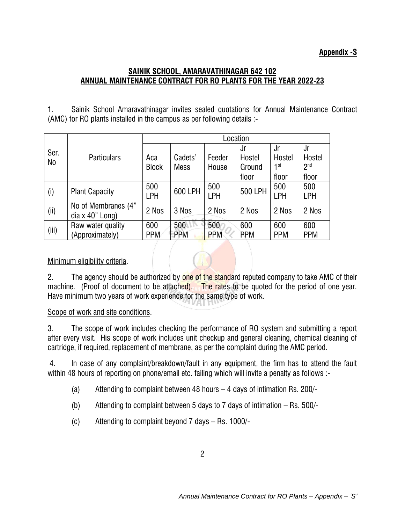## **Appendix -S**

## **SAINIK SCHOOL, AMARAVATHINAGAR 642 102 ANNUAL MAINTENANCE CONTRACT FOR RO PLANTS FOR THE YEAR 2022-23**

1. Sainik School Amaravathinagar invites sealed quotations for Annual Maintenance Contract (AMC) for RO plants installed in the campus as per following details :-

|                        | <b>Particulars</b>                       | Location            |                        |                 |                                 |                                          |                                          |
|------------------------|------------------------------------------|---------------------|------------------------|-----------------|---------------------------------|------------------------------------------|------------------------------------------|
| Ser.<br>N <sub>0</sub> |                                          | Аса<br><b>Block</b> | Cadets'<br><b>Mess</b> | Feeder<br>House | Jr<br>Hostel<br>Ground<br>floor | Jr<br>Hostel<br>$\mathsf{1}$ st<br>floor | Jr<br>Hostel<br>2 <sup>nd</sup><br>floor |
| (i)                    | <b>Plant Capacity</b>                    | 500<br>LPH          | 600 LPH                | 500<br>LPH      | 500 LPH                         | 500<br>LPH                               | 500<br>LPH                               |
| (i)                    | No of Membranes (4"<br>dia $x$ 40" Long) | 2 Nos               | 3 Nos                  | 2 Nos           | 2 Nos                           | 2 Nos                                    | 2 Nos                                    |
| (iii)                  | Raw water quality<br>(Approximately)     | 600<br><b>PPM</b>   | 500<br><b>PPM</b>      | 500<br>PPM      | 600<br><b>PPM</b>               | 600<br><b>PPM</b>                        | 600<br><b>PPM</b>                        |

## Minimum eligibility criteria.

2. The agency should be authorized by one of the standard reputed company to take AMC of their machine. (Proof of document to be attached). The rates to be quoted for the period of one year. Have minimum two years of work experience for the same type of work.

## Scope of work and site conditions.

3. The scope of work includes checking the performance of RO system and submitting a report after every visit. His scope of work includes unit checkup and general cleaning, chemical cleaning of cartridge, if required, replacement of membrane, as per the complaint during the AMC period.

4. In case of any complaint/breakdown/fault in any equipment, the firm has to attend the fault within 48 hours of reporting on phone/email etc. failing which will invite a penalty as follows :-

- (a) Attending to complaint between 48 hours 4 days of intimation Rs. 200/-
- (b) Attending to complaint between 5 days to 7 days of intimation Rs. 500/-
- (c) Attending to complaint beyond 7 days Rs. 1000/-